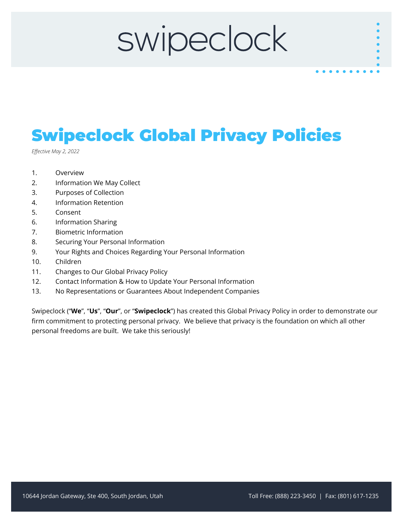# swipeclock

### Swipeclock Global Privacy Policies

*Effective May 2, 2022*

- 1. Overview
- 2. Information We May Collect
- 3. Purposes of Collection
- 4. Information Retention
- 5. Consent
- 6. Information Sharing
- 7. Biometric Information
- 8. Securing Your Personal Information
- 9. Your Rights and Choices Regarding Your Personal Information
- 10. Children
- 11. Changes to Our Global Privacy Policy
- 12. Contact Information & How to Update Your Personal Information
- 13. No Representations or Guarantees About Independent Companies

Swipeclock ("**We**", "**Us**", "**Our**", or "**Swipeclock**") has created this Global Privacy Policy in order to demonstrate our firm commitment to protecting personal privacy. We believe that privacy is the foundation on which all other personal freedoms are built. We take this seriously!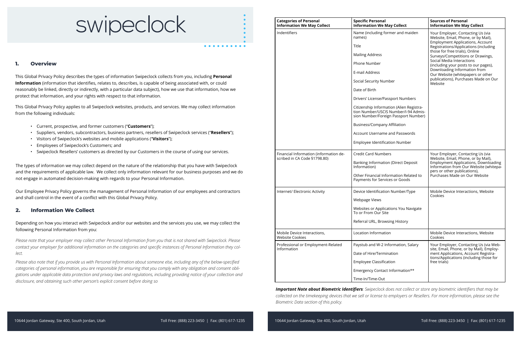The types of information we may collect depend on the nature of the relationship that you have with Swipeclock and the requirements of applicable law. We collect only information relevant for our business purposes and we do not engage in automated decision-making with regards to your Personal Information.

Our Employee Privacy Policy governs the management of Personal Information of our employees and contractors and shall control in the event of a conflict with this Global Privacy Policy.

#### **2. Information We Collect**

Depending on how you interact with Swipeclock and/or our websites and the services you use, we may collect the following Personal Information from you:

*Please note that your employer may collect other Personal Information from you that is not shared with Swipeclock. Please contact your employer for additional information on the categories and specific instances of Personal Information they collect.* 

*Please also note that if you provide us with Personal Information about someone else, including any of the below-specified categories of personal information, you are responsible for ensuring that you comply with any obligation and consent obligations under applicable data protection and privacy laws and regulations, including providing notice of your collection and disclosure, and obtaining such other person's explicit consent before doing so*

| <b>Categories of Personal</b><br><b>Information We May Collect</b>     | <b>Specific Personal</b><br><b>Information We May Collect</b>                                                            | <b>Sources of Personal</b><br><b>Information We May Collect</b>                                                                                                                                                                                                                                                                                                                                                                  |
|------------------------------------------------------------------------|--------------------------------------------------------------------------------------------------------------------------|----------------------------------------------------------------------------------------------------------------------------------------------------------------------------------------------------------------------------------------------------------------------------------------------------------------------------------------------------------------------------------------------------------------------------------|
| Indentifiers                                                           | Name (including former and maiden<br>names)                                                                              | Your Employer, Contacting Us (via<br>Website, Email, Phone, or by Mail),<br><b>Employment Applications, Account</b><br>Registrations/Applications (including<br>those for free trials), Online<br>Surveys/Competitions or Drawings,<br>Social Media Interactions<br>(including your posts to our pages),<br>Downloading Information from<br>Our Website (whitepapers or other<br>publications), Purchases Made on Our<br>Website |
|                                                                        | Title                                                                                                                    |                                                                                                                                                                                                                                                                                                                                                                                                                                  |
|                                                                        | <b>Mailing Address</b>                                                                                                   |                                                                                                                                                                                                                                                                                                                                                                                                                                  |
|                                                                        | Phone Number                                                                                                             |                                                                                                                                                                                                                                                                                                                                                                                                                                  |
|                                                                        | E-mail Address                                                                                                           |                                                                                                                                                                                                                                                                                                                                                                                                                                  |
|                                                                        | Social Security Number                                                                                                   |                                                                                                                                                                                                                                                                                                                                                                                                                                  |
|                                                                        | Date of Birth                                                                                                            |                                                                                                                                                                                                                                                                                                                                                                                                                                  |
|                                                                        | Drivers' License/Passport Numbers                                                                                        |                                                                                                                                                                                                                                                                                                                                                                                                                                  |
|                                                                        | Citizenship Information (Alien Registra-<br>tion Number/USCIS Number/I-94 Admis-<br>sion Number/Foreign Passport Number) |                                                                                                                                                                                                                                                                                                                                                                                                                                  |
|                                                                        | <b>Business/Company Affiliation</b>                                                                                      |                                                                                                                                                                                                                                                                                                                                                                                                                                  |
|                                                                        | <b>Account Username and Passwords</b>                                                                                    |                                                                                                                                                                                                                                                                                                                                                                                                                                  |
|                                                                        | Employee Identification Number                                                                                           |                                                                                                                                                                                                                                                                                                                                                                                                                                  |
| Financial Information (information de-<br>scribed in CA Code §1798.80) | <b>Credit Card Numbers</b>                                                                                               | Your Employer, Contacting Us (via<br>Website, Email, Phone, or by Mail),<br><b>Employment Applications, Downloading</b><br>Information from Our Website (whitepa-<br>pers or other publications),<br>Purchases Made on Our Website                                                                                                                                                                                               |
|                                                                        | Banking Information (Direct Deposit<br>Information)                                                                      |                                                                                                                                                                                                                                                                                                                                                                                                                                  |
|                                                                        | Other Financial Information Related to<br>Payments for Services or Goods                                                 |                                                                                                                                                                                                                                                                                                                                                                                                                                  |
| Internet/ Electronic Activity                                          | Device Identification Number/Type                                                                                        | Mobile Device Interactions, Website<br>Cookies                                                                                                                                                                                                                                                                                                                                                                                   |
|                                                                        | Webpage Views                                                                                                            |                                                                                                                                                                                                                                                                                                                                                                                                                                  |
|                                                                        | Websites or Applications You Navigate<br>To or From Our Site                                                             |                                                                                                                                                                                                                                                                                                                                                                                                                                  |
|                                                                        | Referral URL, Browsing History                                                                                           |                                                                                                                                                                                                                                                                                                                                                                                                                                  |
| Mobile Device Interactions,<br><b>Website Cookies</b>                  | Location Information                                                                                                     | Mobile Device Interactions, Website<br>Cookies                                                                                                                                                                                                                                                                                                                                                                                   |
| Professional or Employment-Related<br>Information                      | Paystub and W-2 Information, Salary                                                                                      | Your Employer, Contacting Us (via Web-<br>site, Email, Phone, or by Mail), Employ-<br>ment Applications, Account Registra-<br>tions/Applications (including those for<br>free trials)                                                                                                                                                                                                                                            |
|                                                                        | Date of Hire/Termination                                                                                                 |                                                                                                                                                                                                                                                                                                                                                                                                                                  |
|                                                                        | <b>Employee Classification</b>                                                                                           |                                                                                                                                                                                                                                                                                                                                                                                                                                  |
|                                                                        | Emergency Contact Information**                                                                                          |                                                                                                                                                                                                                                                                                                                                                                                                                                  |
|                                                                        | Time-In/Time-Out                                                                                                         |                                                                                                                                                                                                                                                                                                                                                                                                                                  |

## swipeclock

#### **1. Overview**

This Global Privacy Policy describes the types of information Swipeclock collects from you, including **Personal Information** (information that identifies, relates to, describes, is capable of being associated with, or could reasonably be linked, directly or indirectly, with a particular data subject), how we use that information, how we protect that information, and your rights with respect to that information.

This Global Privacy Policy applies to all Swipeclock websites, products, and services. We may collect information from the following individuals:

- Current, prospective, and former customers ("**Customers**");
- Suppliers, vendors, subcontractors, business partners, resellers of Swipeclock services ("**Resellers**");
- Visitors of Swipeclock's websites and mobile applications ("**Visitors**");
- Employees of Swipeclock's Customers; and
- Swipeclock Resellers' customers as directed by our Customers in the course of using our services.

*Important Note about Biometric Identifiers: Swipeclock does not collect or store any biometric identifiers that may be collected on the timekeeping devices that we sell or license to employers or Resellers. For more information, please see the Biometric Data section of this policy.*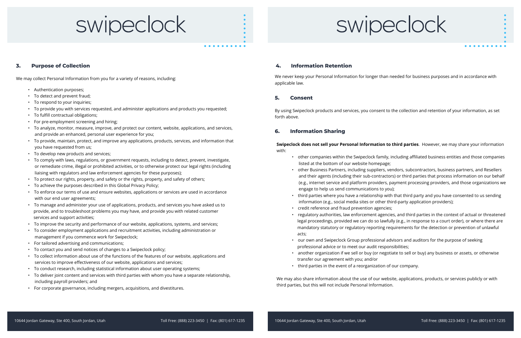# swipeclock

# swipeclock

- Authentication purposes;
- To detect and prevent fraud;
- To respond to your inquiries;
- To provide you with services requested, and administer applications and products you requested;
- To fulfill contractual obligations;
- For pre-employment screening and hiring;
- To analyze, monitor, measure, improve, and protect our content, website, applications, and services, and provide an enhanced, personal user experience for you;
- To provide, maintain, protect, and improve any applications, products, services, and information that you have requested from us;
- To develop new products and services;
- To comply with laws, regulations, or government requests, including to detect, prevent, investigate, or remediate crime, illegal or prohibited activities, or to otherwise protect our legal rights (including liaising with regulators and law enforcement agencies for these purposes);
- To protect our rights, property, and safety or the rights, property, and safety of others;
- To achieve the purposes described in this Global Privacy Policy;
- To enforce our terms of use and ensure websites, applications or services are used in accordance with our end user agreements;
- To manage and administer your use of applications, products, and services you have asked us to provide, and to troubleshoot problems you may have, and provide you with related customer services and support activities;
- To improve the security and performance of our website, applications, systems, and services;
- To consider employment applications and recruitment activities, including administration or management if you commence work for Swipeclock;
- For tailored advertising and communications;
- To contact you and send notices of changes to a Swipeclock policy;
- To collect information about use of the functions of the features of our website, applications and services to improve effectiveness of our website, applications and services;
- To conduct research, including statistical information about user operating systems;
- To deliver joint content and services with third parties with whom you have a separate relationship, including payroll providers; and
- For corporate governance, including mergers, acquisitions, and divestitures.

#### **3. Purpose of Collection**

We may collect Personal Information from you for a variety of reasons, including:

#### **5. Consent**

By using Swipeclock products and services, you consent to the collection and retention of your information, as set forth above.

### **4. Information Retention**

We never keep your Personal Information for longer than needed for business purposes and in accordance with applicable law.

#### **6. Information Sharing**

**Swipeclock does not sell your Personal Information to third parties**. However, we may share your information

### with:

• other companies within the Swipeclock family, including affiliated business entities and those companies

• other Business Partners, including suppliers, vendors, subcontractors, business partners, and Resellers and their agents (including their sub-contractors) or third parties that process information on our behalf (e.g., internet service and platform providers, payment processing providers, and those organizations we

• third parties where you have a relationship with that third party and you have consented to us sending

- listed at the bottom of our website homepage;
- engage to help us send communications to you);
- information (e.g., social media sites or other third-party application providers);
- credit reference and fraud prevention agencies;
- acts;
- professional advice or to meet our audit responsibilities;
- transfer our agreement with you; and/or
- third parties in the event of a reorganization of our company.

• regulatory authorities, law enforcement agencies, and third parties in the context of actual or threatened legal proceedings, provided we can do so lawfully (e.g., in response to a court order), or where there are mandatory statutory or regulatory reporting requirements for the detection or prevention of unlawful

• our own and Swipeclock Group professional advisors and auditors for the purpose of seeking

• another organization if we sell or buy (or negotiate to sell or buy) any business or assets, or otherwise

We may also share information about the use of our website, applications, products, or services publicly or with third parties, but this will not include Personal Information.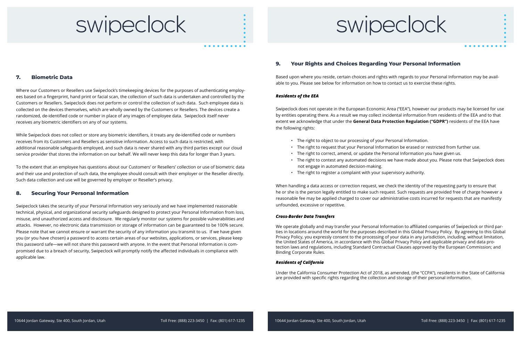#### **8. Securing Your Personal Information**

Swipeclock takes the security of your Personal Information very seriously and we have implemented reasonable technical, physical, and organizational security safeguards designed to protect your Personal Information from loss, misuse, and unauthorized access and disclosure. We regularly monitor our systems for possible vulnerabilities and attacks. However, no electronic data transmission or storage of information can be guaranteed to be 100% secure. Please note that we cannot ensure or warrant the security of any information you transmit to us. If we have given you (or you have chosen) a password to access certain areas of our websites, applications, or services, please keep this password safe—we will not share this password with anyone. In the event that Personal Information is compromised due to a breach of security, Swipeclock will promptly notify the affected individuals in compliance with applicable law.

### swipeclock

#### **7. Biometric Data**

Where our Customers or Resellers use Swipeclock's timekeeping devices for the purposes of authenticating employees based on a fingerprint, hand print or facial scan, the collection of such data is undertaken and controlled by the Customers or Resellers. Swipeclock does not perform or control the collection of such data. Such employee data is collected on the devices themselves, which are wholly owned by the Customers or Resellers. The devices create a randomized, de-identified code or number in place of any images of employee data. Swipeclock itself never receives any biometric identifiers on any of our systems.

While Swipeclock does not collect or store any biometric identifiers, it treats any de-identified code or numbers receives from its Customers and Resellers as sensitive information. Access to such data is restricted, with additional reasonable safeguards employed, and such data is never shared with any third parties except our cloud service provider that stores the information on our behalf. We will never keep this data for longer than 3 years.

To the extent that an employee has questions about our Customers' or Resellers' collection or use of biometric data and their use and protection of such data, the employee should consult with their employer or the Reseller directly. Such data collection and use will be governed by employer or Reseller's privacy.

> When handling a data access or correction request, we check the identity of the requesting party to ensure that he or she is the person legally entitled to make such request. Such requests are provided free of charge however a reasonable fee may be applied charged to cover our administrative costs incurred for requests that are manifestly unfounded, excessive or repetitive.

#### *Cross-Border Data Transfers*

We operate globally and may transfer your Personal Information to affiliated companies of Swipeclock or third parties in locations around the world for the purposes described in this Global Privacy Policy. By agreeing to this Global Privacy Policy, you expressly consent to the processing of your data in any jurisdiction, including, without limitation, the United States of America, in accordance with this Global Privacy Policy and applicable privacy and data protection laws and regulations, including Standard Contractual Clauses approved by the European Commission; and Binding Corporate Rules.

#### *Residents of California*

Under the California Consumer Protection Act of 2018, as amended, (the "CCPA"), residents in the State of California are provided with specific rights regarding the collection and storage of their personal information.



### **9. Your Rights and Choices Regarding Your Personal Information**

Based upon where you reside, certain choices and rights with regards to your Personal Information may be available to you. Please see below for information on how to contact us to exercise these rights.

#### *Residents of the EEA*

Swipeclock does not operate in the European Economic Area ("EEA"), however our products may be licensed for use by entities operating there. As a result we may collect incidental information from residents of the EEA and to that extent we acknowledge that under the **General Data Protection Regulation ("GDPR")** residents of the EEA have the following rights:

- The right to object to our processing of your Personal Information.
- The right to request that your Personal Information be erased or restricted from further use.
- The right to correct, amend, or update the Personal Information you have given us.
- The right to contest any automated decisions we have made about you. Please note that Swipeclock does not engage in automated decision-making.
- The right to register a complaint with your supervisory authority.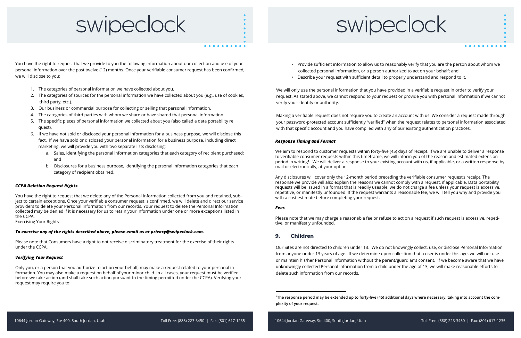#### *CCPA Deletion Request Rights*

You have the right to request that we delete any of the Personal Information collected from you and retained, subject to certain exceptions. Once your verifiable consumer request is confirmed, we will delete and direct our service providers to delete your Personal Information from our records. Your request to delete the Personal Information collected may be denied if it is necessary for us to retain your information under one or more exceptions listed in the CCPA.

Exercising Your Rights

#### *To exercise any of the rights described above, please email us at privacy@swipeclock.com.*

Please note that Consumers have a right to not receive discriminatory treatment for the exercise of their rights under the CCPA.

#### *Verifying Your Request*

Only you, or a person that you authorize to act on your behalf, may make a request related to your personal information. You may also make a request on behalf of your minor child. In all cases, your request must be verified before we take action (and shall take such action pursuant to the timing permitted under the CCPA). Verifying your request may require you to:

### swipeclock

You have the right to request that we provide to you the following information about our collection and use of your personal information over the past twelve (12) months. Once your verifiable consumer request has been confirmed, we will disclose to you:

- 1. The categories of personal information we have collected about you.
- 2. The categories of sources for the personal information we have collected about you (e.g., use of cookies, third party, etc.).
- 3. Our business or commercial purpose for collecting or selling that personal information.
- 4. The categories of third parties with whom we share or have shared that personal information.
- 5. The specific pieces of personal information we collected about you (also called a data portability re quest).
- 6. If we have not sold or disclosed your personal information for a business purpose, we will disclose this fact. If we have sold or disclosed your personal information for a business purpose, including direct marketing, we will provide you with two separate lists disclosing:
	- a. Sales, identifying the personal information categories that each category of recipient purchased; and
	- b. Disclosures for a business purpose, identifying the personal information categories that each category of recipient obtained.

#### *Response Timing and Format*

We aim to respond to customer requests within forty-five (45) days of receipt. If we are unable to deliver a response to verifiable consumer requests within this timeframe, we will inform you of the reason and estimated extension period in writing1. We will deliver a response to your existing account with us, if applicable, or a written response by mail or electronically, at your option.

Any disclosures will cover only the 12-month period preceding the verifiable consumer request's receipt. The response we provide will also explain the reasons we cannot comply with a request, if applicable. Data portability requests will be issued in a format that is readily useable, we do not charge a fee unless your request is excessive, repetitive, or manifestly unfounded. If the request warrants a reasonable fee, we will tell you why and provide you with a cost estimate before completing your request.

#### *Fees*

Please note that we may charge a reasonable fee or refuse to act on a request if such request is excessive, repetitive, or manifestly unfounded.



• Provide sufficient information to allow us to reasonably verify that you are the person about whom we

- collected personal information, or a person authorized to act on your behalf; and
- Describe your request with sufficient detail to properly understand and respond to it.

We will only use the personal information that you have provided in a verifiable request in order to verify your request. As stated above, we cannot respond to your request or provide you with personal information if we cannot verify your identity or authority.

Making a verifiable request does not require you to create an account with us. We consider a request made through your password-protected account sufficiently "verified" when the request relates to personal information associated with that specific account and you have complied with any of our existing authentication practices.

### **9. Children**

Our Sites are not directed to children under 13. We do not knowingly collect, use, or disclose Personal Information from anyone under 13 years of age. If we determine upon collection that a user is under this age, we will not use or maintain his/her Personal Information without the parent/guardian's consent. If we become aware that we have unknowingly collected Personal Information from a child under the age of 13, we will make reasonable efforts to delete such information from our records.

1The response period may be extended up to forty-five (45) additional days where necessary, taking into account the com-

plexity of your request.